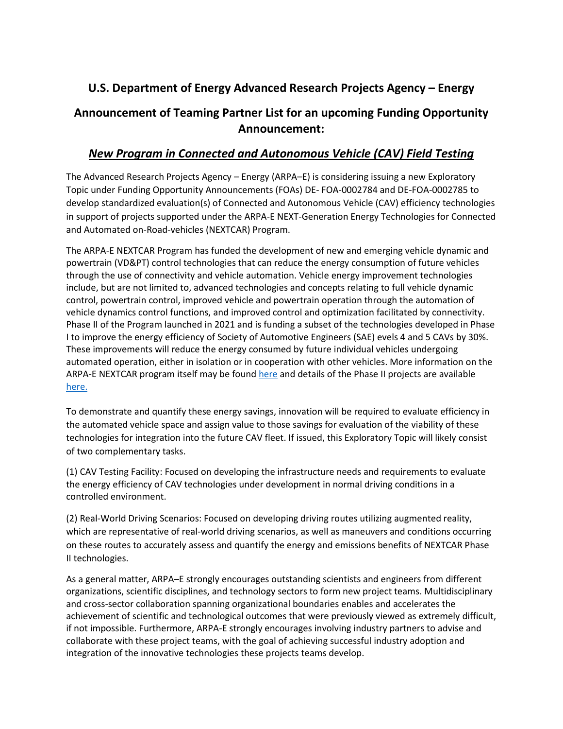## **U.S. Department of Energy Advanced Research Projects Agency – Energy**

## **Announcement of Teaming Partner List for an upcoming Funding Opportunity Announcement:**

## *New Program in Connected and Autonomous Vehicle (CAV) Field Testing*

The Advanced Research Projects Agency – Energy (ARPA–E) is considering issuing a new Exploratory Topic under Funding Opportunity Announcements (FOAs) DE‐ FOA‐0002784 and DE‐FOA‐0002785 to develop standardized evaluation(s) of Connected and Autonomous Vehicle (CAV) efficiency technologies in support of projects supported under the ARPA-E NEXT-Generation Energy Technologies for Connected and Automated on-Road-vehicles (NEXTCAR) Program.

The ARPA-E NEXTCAR Program has funded the development of new and emerging vehicle dynamic and powertrain (VD&PT) control technologies that can reduce the energy consumption of future vehicles through the use of connectivity and vehicle automation. Vehicle energy improvement technologies include, but are not limited to, advanced technologies and concepts relating to full vehicle dynamic control, powertrain control, improved vehicle and powertrain operation through the automation of vehicle dynamics control functions, and improved control and optimization facilitated by connectivity. Phase II of the Program launched in 2021 and is funding a subset of the technologies developed in Phase I to improve the energy efficiency of Society of Automotive Engineers (SAE) evels 4 and 5 CAVs by 30%. These improvements will reduce the energy consumed by future individual vehicles undergoing automated operation, either in isolation or in cooperation with other vehicles. More information on the ARPA-E NEXTCAR program itself may be found [here](https://arpa-e.energy.gov/technologies/programs/nextcar) and details of the Phase II projects are available [here.](https://arpa-e.energy.gov/sites/default/files/documents/files/NEXTCAR%20II_Project%20Descriptions_FINAL.pdf)

To demonstrate and quantify these energy savings, innovation will be required to evaluate efficiency in the automated vehicle space and assign value to those savings for evaluation of the viability of these technologies for integration into the future CAV fleet. If issued, this Exploratory Topic will likely consist of two complementary tasks.

(1) CAV Testing Facility: Focused on developing the infrastructure needs and requirements to evaluate the energy efficiency of CAV technologies under development in normal driving conditions in a controlled environment.

(2) Real-World Driving Scenarios: Focused on developing driving routes utilizing augmented reality, which are representative of real-world driving scenarios, as well as maneuvers and conditions occurring on these routes to accurately assess and quantify the energy and emissions benefits of NEXTCAR Phase II technologies.

As a general matter, ARPA–E strongly encourages outstanding scientists and engineers from different organizations, scientific disciplines, and technology sectors to form new project teams. Multidisciplinary and cross-sector collaboration spanning organizational boundaries enables and accelerates the achievement of scientific and technological outcomes that were previously viewed as extremely difficult, if not impossible. Furthermore, ARPA-E strongly encourages involving industry partners to advise and collaborate with these project teams, with the goal of achieving successful industry adoption and integration of the innovative technologies these projects teams develop.